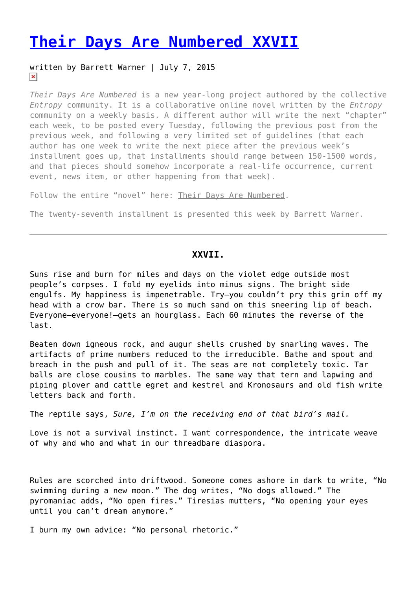## **[Their Days Are Numbered XXVII](https://entropymag.org/their-days-are-numbered-xxvii/)**

## written by Barrett Warner | July 7, 2015  $\pmb{\times}$

*[Their Days Are Numbered](https://entropymag.org/tag/their-days-are-numbered)* is a new year-long project authored by the collective *Entropy* community. It is a collaborative online novel written by the *Entropy* community on a weekly basis. A different author will write the next "chapter" each week, to be posted every Tuesday, following the previous post from the previous week, and following a very limited set of guidelines (that each author has one week to write the next piece after the previous week's installment goes up, that installments should range between 150-1500 words, and that pieces should somehow incorporate a real-life occurrence, current event, news item, or other happening from that week).

Follow the entire "novel" here: [Their Days Are Numbered.](https://entropymag.org/tag/their-days-are-numbered)

The twenty-seventh installment is presented this week by Barrett Warner.

## **XXVII.**

Suns rise and burn for miles and days on the violet edge outside most people's corpses. I fold my eyelids into minus signs. The bright side engulfs. My happiness is impenetrable. Try—you couldn't pry this grin off my head with a crow bar. There is so much sand on this sneering lip of beach. Everyone—everyone!—gets an hourglass. Each 60 minutes the reverse of the last.

Beaten down igneous rock, and augur shells crushed by snarling waves. The artifacts of prime numbers reduced to the irreducible. Bathe and spout and breach in the push and pull of it. The seas are not completely toxic. Tar balls are close cousins to marbles. The same way that tern and lapwing and piping plover and cattle egret and kestrel and Kronosaurs and old fish write letters back and forth.

The reptile says, *Sure, I'm on the receiving end of that bird's mail.*

Love is not a survival instinct. I want correspondence, the intricate weave of why and who and what in our threadbare diaspora.

Rules are scorched into driftwood. Someone comes ashore in dark to write, "No swimming during a new moon." The dog writes, "No dogs allowed." The pyromaniac adds, "No open fires." Tiresias mutters, "No opening your eyes until you can't dream anymore."

I burn my own advice: "No personal rhetoric."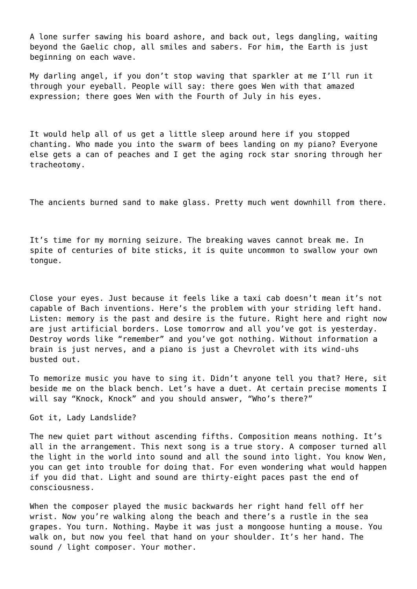A lone surfer sawing his board ashore, and back out, legs dangling, waiting beyond the Gaelic chop, all smiles and sabers. For him, the Earth is just beginning on each wave.

My darling angel, if you don't stop waving that sparkler at me I'll run it through your eyeball. People will say: there goes Wen with that amazed expression; there goes Wen with the Fourth of July in his eyes.

It would help all of us get a little sleep around here if you stopped chanting. Who made you into the swarm of bees landing on my piano? Everyone else gets a can of peaches and I get the aging rock star snoring through her tracheotomy.

The ancients burned sand to make glass. Pretty much went downhill from there.

It's time for my morning seizure. The breaking waves cannot break me. In spite of centuries of bite sticks, it is quite uncommon to swallow your own tongue.

Close your eyes. Just because it feels like a taxi cab doesn't mean it's not capable of Bach inventions. Here's the problem with your striding left hand. Listen: memory is the past and desire is the future. Right here and right now are just artificial borders. Lose tomorrow and all you've got is yesterday. Destroy words like "remember" and you've got nothing. Without information a brain is just nerves, and a piano is just a Chevrolet with its wind-uhs busted out.

To memorize music you have to sing it. Didn't anyone tell you that? Here, sit beside me on the black bench. Let's have a duet. At certain precise moments I will say "Knock, Knock" and you should answer, "Who's there?"

Got it, Lady Landslide?

The new quiet part without ascending fifths. Composition means nothing. It's all in the arrangement. This next song is a true story. A composer turned all the light in the world into sound and all the sound into light. You know Wen, you can get into trouble for doing that. For even wondering what would happen if you did that. Light and sound are thirty-eight paces past the end of consciousness.

When the composer played the music backwards her right hand fell off her wrist. Now you're walking along the beach and there's a rustle in the sea grapes. You turn. Nothing. Maybe it was just a mongoose hunting a mouse. You walk on, but now you feel that hand on your shoulder. It's her hand. The sound / light composer. Your mother.